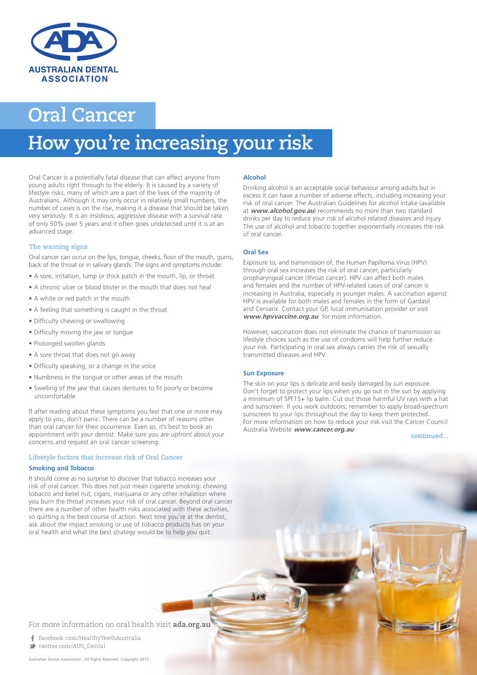

# **Oral Cancer**

# **How you're increasing your risk**

Oral Cancer is a potentially fatal disease that can affect anyone from young adults right through to the elderly. It is caused by a variety of lifestyle risks, many of which are a part of the lives of the majority of Australians. Although it may only occur in relatively small numbers, the number of cases is on the rise, making it a disease that should be taken very seriously. It is an insidious, aggressive disease with a survival rate of only 50% over 5 years and it often goes undetected until it is at an advanced stage.

# **The warning signs**

Oral cancer can occur on the lips, tongue, cheeks, floor of the mouth, gums, back of the throat or in salivary glands. The signs and symptoms include:

- A sore, irritation, lump or thick patch in the mouth, lip, or throat
- A chronic ulcer or blood blister in the mouth that does not heal
- A white or red patch in the mouth
- A feeling that something is caught in the throat
- Difficulty chewing or swallowing
- Difficulty moving the jaw or tongue
- Prolonged swollen glands
- A sore throat that does not go away
- Difficulty speaking, or a change in the voice
- Numbness in the tongue or other areas of the mouth
- Swelling of the jaw that causes dentures to fit poorly or become uncomfortable

If after reading about these symptoms you feel that one or more may apply to you, don't panic. There can be a number of reasons other than oral cancer for their occurrence. Even so, it's best to book an appointment with your dentist. Make sure you are upfront about your concerns and request an oral cancer screening.

#### **Lifestyle factors that increase risk of Oral Cancer**

### **Smoking and Tobacco**

It should come as no surprise to discover that tobacco increases your risk of oral cancer. This does not just mean cigarette smoking: chewing tobacco and betel nut, cigars, marijuana or any other inhalation where you burn the throat increases your risk of oral cancer. Beyond oral cancer there are a number of other health risks associated with these activities, so quitting is the best course of action. Next time you're at the dentist, ask about the impact smoking or use of tobacco products has on your oral health and what the best strategy would be to help you quit.

#### **Alcohol**

Drinking alcohol is an acceptable social behaviour among adults but in excess it can have a number of adverse effects, including increasing your risk of oral cancer. The Australian Guidelines for alcohol intake (available at **www.alcohol.gov.au**) recommends no more than two standard drinks per day to reduce your risk of alcohol related diseases and injury. The use of alcohol and tobacco together exponentially increases the risk of oral cancer.

## **Oral Sex**

Exposure to, and transmission of, the Human Papilloma Virus (HPV) through oral sex increases the risk of oral cancer, particularly oropharyngeal cancer (throat cancer). HPV can affect both males and females and the number of HPV-related cases of oral cancer is increasing in Australia, especially in younger males. A vaccination against HPV is available for both males and females in the form of Gardasil and Cervarix. Contact your GP, local immunisation provider or visit **www.hpvvaccine.org.au** for more information.

However, vaccination does not eliminate the chance of transmission so lifestyle choices such as the use of condoms will help further reduce your risk. Participating in oral sex always carries the risk of sexually transmitted diseases and HPV.

#### **Sun Exposure**

t z

The skin on your lips is delicate and easily damaged by sun exposure. Don't forget to protect your lips when you go out in the sun by applying a minimum of SPF15+ lip balm. Cut out those harmful UV rays with a hat and sunscreen. If you work outdoors, remember to apply broad-spectrum sunscreen to your lips throughout the day to keep them protected. For more information on how to reduce your risk visit the Cancer Council Australia Website **www.cancer.org.au**

continued...

For more information on oral health visit **ada.org.au**

 facebook.com/HealthyTeethAustralia twitter.com/AUS\_Dental